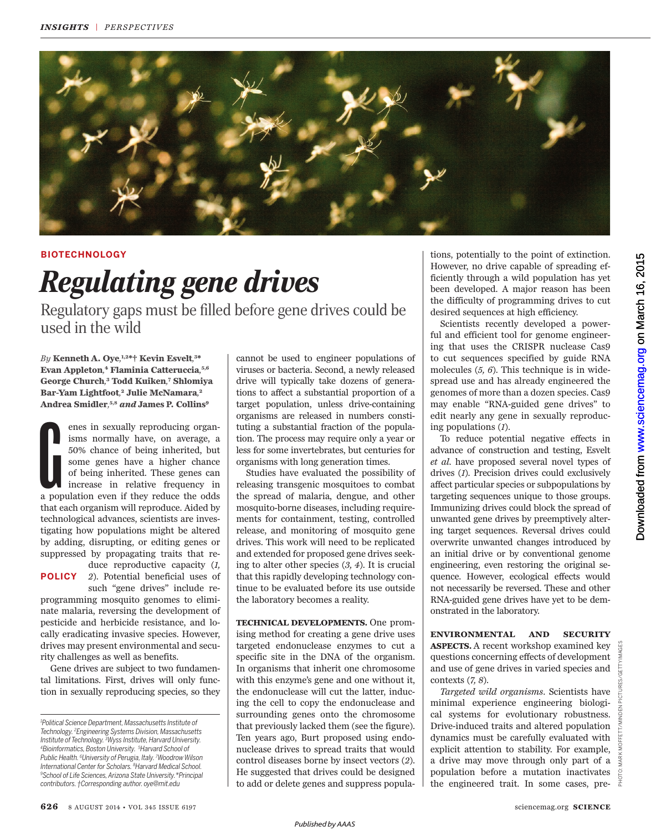

## **BIOTECHNOLOGY**

## *Regulating gene drives*

Regulatory gaps must be filled before gene drives could be used in the wild

*By* **Kenneth A. Oye***,* **1,2\*† Kevin Esvelt***,* **3 \* Evan Appleton***,* **<sup>4</sup> Flaminia Catteruccia***,* **5,6 George Church***,* **<sup>3</sup> Todd Kuiken***,* **<sup>7</sup> Shlomiya Bar-Yam Lightfoot***,* **<sup>2</sup> Julie McNamara***,* **2 Andrea Smidler***,* **5,8** *and* **James P. Collins 9**

Contract de la pop enes in sexually reproducing organisms normally have, on average, a 50% chance of being inherited, but some genes have a higher chance of being inherited. These genes can increase in relative frequency in a population even if they reduce the odds that each organism will reproduce. Aided by technological advances, scientists are investigating how populations might be altered by adding, disrupting, or editing genes or suppressed by propagating traits that reduce reproductive capacity (*1,* 

*2*). Potential beneficial uses of **POLICY** such "gene drives" include re-

programming mosquito genomes to eliminate malaria, reversing the development of pesticide and herbicide resistance, and locally eradicating invasive species. However, drives may present environmental and security challenges as well as benefits.

Gene drives are subject to two fundamental limitations. First, drives will only function in sexually reproducing species, so they

cannot be used to engineer populations of viruses or bacteria. Second, a newly released drive will typically take dozens of generations to affect a substantial proportion of a target population, unless drive-containing organisms are released in numbers constituting a substantial fraction of the population. The process may require only a year or less for some invertebrates, but centuries for organisms with long generation times.

Studies have evaluated the possibility of releasing transgenic mosquitoes to combat the spread of malaria, dengue, and other mosquito-borne diseases, including requirements for containment, testing, controlled release, and monitoring of mosquito gene drives. This work will need to be replicated and extended for proposed gene drives seeking to alter other species (*3, 4*). It is crucial that this rapidly developing technology continue to be evaluated before its use outside the laboratory becomes a reality.

**TECHNICAL DEVELOPMENTS.** One promising method for creating a gene drive uses targeted endonuclease enzymes to cut a specific site in the DNA of the organism. In organisms that inherit one chromosome with this enzyme's gene and one without it, the endonuclease will cut the latter, inducing the cell to copy the endonuclease and surrounding genes onto the chromosome that previously lacked them (see the figure). Ten years ago, Burt proposed using endonuclease drives to spread traits that would control diseases borne by insect vectors (*2*). He suggested that drives could be designed to add or delete genes and suppress popula-

tions, potentially to the point of extinction. However, no drive capable of spreading efficiently through a wild population has yet been developed. A major reason has been the difficulty of programming drives to cut desired sequences at high efficiency.

Scientists recently developed a powerful and efficient tool for genome engineering that uses the CRISPR nuclease Cas9 to cut sequences specified by guide RNA molecules (*5, 6*). This technique is in widespread use and has already engineered the genomes of more than a dozen species. Cas9 may enable "RNA-guided gene drives" to edit nearly any gene in sexually reproducing populations (*1*).

To reduce potential negative effects in advance of construction and testing, Esvelt *et al*. have proposed several novel types of drives (*1*). Precision drives could exclusively affect particular species or subpopulations by targeting sequences unique to those groups. Immunizing drives could block the spread of unwanted gene drives by preemptively altering target sequences. Reversal drives could overwrite unwanted changes introduced by an initial drive or by conventional genome engineering, even restoring the original sequence. However, ecological effects would not necessarily be reversed. These and other RNA-guided gene drives have yet to be demonstrated in the laboratory.

**ENVIRONMENTAL AND SECURITY ASPECTS.** A recent workshop examined key questions concerning effects of development and use of gene drives in varied species and contexts (*7, 8*).

*Targeted wild organisms*. Scientists have minimal experience engineering biological systems for evolutionary robustness. Drive-induced traits and altered population dynamics must be carefully evaluated with explicit attention to stability. For example, a drive may move through only part of a population before a mutation inactivates the engineered trait. In some cases, pre-  $\frac{3}{4}$ 

*<sup>1</sup>Political Science Department, Massachusetts Institute of Technology. <sup>2</sup>Engineering Systems Division, Massachusetts Institute of Technology. <sup>3</sup>Wyss Institute, Harvard University. <sup>4</sup>Bioinformatics, Boston University. <sup>5</sup>Harvard School of Public Health. <sup>6</sup>University of Perugia, Italy. <sup>7</sup>Woodrow Wilson International Center for Scholars. <sup>8</sup>Harvard Medical School. <sup>9</sup>School of Life Sciences, Arizona State University.\*Principal contributors. †Corresponding author. oye@mit.edu*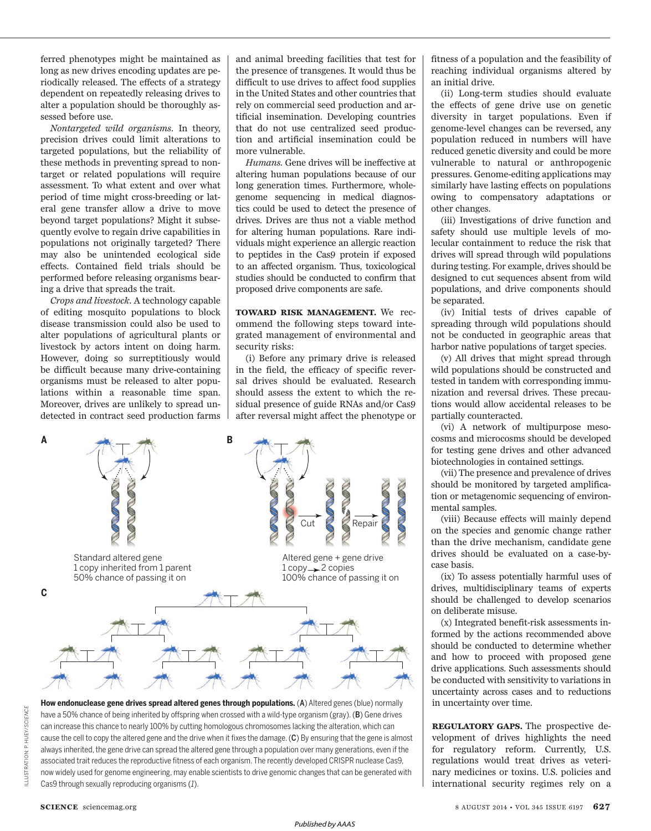ferred phenotypes might be maintained as long as new drives encoding updates are periodically released. The effects of a strategy dependent on repeatedly releasing drives to alter a population should be thoroughly assessed before use.

*Nontargeted wild organisms*. In theory, precision drives could limit alterations to targeted populations, but the reliability of these methods in preventing spread to nontarget or related populations will require assessment. To what extent and over what period of time might cross-breeding or lateral gene transfer allow a drive to move beyond target populations? Might it subsequently evolve to regain drive capabilities in populations not originally targeted? There may also be unintended ecological side effects. Contained field trials should be performed before releasing organisms bearing a drive that spreads the trait.

*Crops and livestock.* A technology capable of editing mosquito populations to block disease transmission could also be used to alter populations of agricultural plants or livestock by actors intent on doing harm. However, doing so surreptitiously would be difficult because many drive-containing organisms must be released to alter populations within a reasonable time span. Moreover, drives are unlikely to spread undetected in contract seed production farms

and animal breeding facilities that test for the presence of transgenes. It would thus be difficult to use drives to affect food supplies in the United States and other countries that rely on commercial seed production and artificial insemination. Developing countries that do not use centralized seed production and artificial insemination could be more vulnerable.

*Humans.* Gene drives will be ineffective at altering human populations because of our long generation times. Furthermore, wholegenome sequencing in medical diagnostics could be used to detect the presence of drives. Drives are thus not a viable method for altering human populations. Rare individuals might experience an allergic reaction to peptides in the Cas9 protein if exposed to an affected organism. Thus, toxicological studies should be conducted to confirm that proposed drive components are safe.

**TOWARD RISK MANAGEMENT.** We recommend the following steps toward integrated management of environmental and security risks:

(i) Before any primary drive is released in the field, the efficacy of specific reversal drives should be evaluated. Research should assess the extent to which the residual presence of guide RNAs and/or Cas9 after reversal might affect the phenotype or





fitness of a population and the feasibility of reaching individual organisms altered by an initial drive.

(ii) Long-term studies should evaluate the effects of gene drive use on genetic diversity in target populations. Even if genome-level changes can be reversed, any population reduced in numbers will have reduced genetic diversity and could be more vulnerable to natural or anthropogenic pressures. Genome-editing applications may similarly have lasting effects on populations owing to compensatory adaptations or other changes.

(iii) Investigations of drive function and safety should use multiple levels of molecular containment to reduce the risk that drives will spread through wild populations during testing. For example, drives should be designed to cut sequences absent from wild populations, and drive components should be separated.

(iv) Initial tests of drives capable of spreading through wild populations should not be conducted in geographic areas that harbor native populations of target species.

(v) All drives that might spread through wild populations should be constructed and tested in tandem with corresponding immunization and reversal drives. These precautions would allow accidental releases to be partially counteracted.

(vi) A network of multipurpose mesocosms and microcosms should be developed for testing gene drives and other advanced biotechnologies in contained settings.

(vii) The presence and prevalence of drives should be monitored by targeted amplification or metagenomic sequencing of environmental samples.

(viii) Because effects will mainly depend on the species and genomic change rather than the drive mechanism, candidate gene drives should be evaluated on a case-bycase basis.

(ix) To assess potentially harmful uses of drives, multidisciplinary teams of experts should be challenged to develop scenarios on deliberate misuse.

(x) Integrated benefit-risk assessments informed by the actions recommended above should be conducted to determine whether and how to proceed with proposed gene drive applications. Such assessments should be conducted with sensitivity to variations in uncertainty across cases and to reductions in uncertainty over time.

**REGULATORY GAPS.** The prospective development of drives highlights the need for regulatory reform. Currently, U.S. regulations would treat drives as veterinary medicines or toxins. U.S. policies and international security regimes rely on a